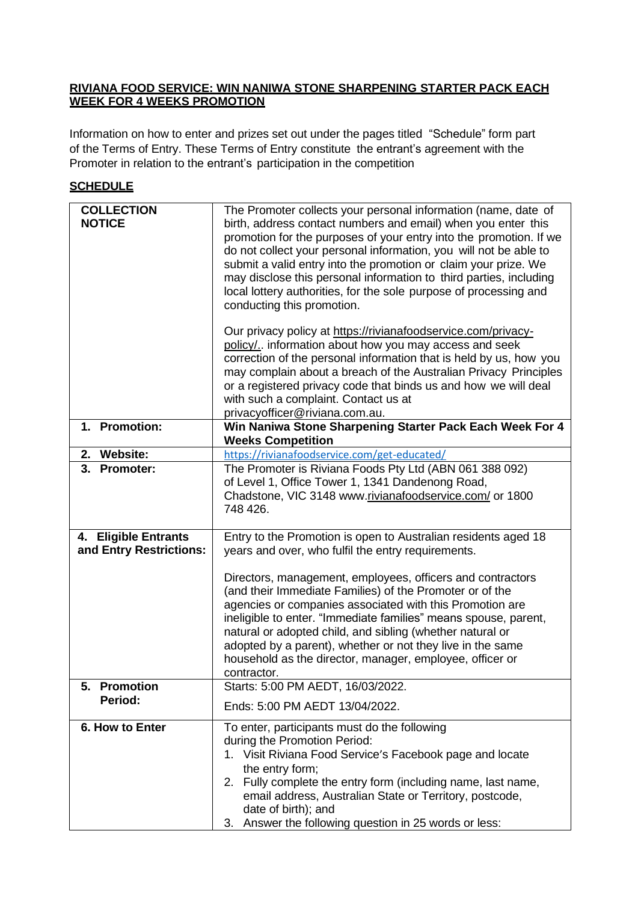## **RIVIANA FOOD SERVICE: WIN NANIWA STONE SHARPENING STARTER PACK EACH WEEK FOR 4 WEEKS PROMOTION**

Information on how to enter and prizes set out under the pages titled "Schedule" form part of the Terms of Entry. These Terms of Entry constitute the entrant's agreement with the Promoter in relation to the entrant's participation in the competition

# **SCHEDULE**

| <b>COLLECTION</b><br><b>NOTICE</b>              | The Promoter collects your personal information (name, date of<br>birth, address contact numbers and email) when you enter this<br>promotion for the purposes of your entry into the promotion. If we<br>do not collect your personal information, you will not be able to<br>submit a valid entry into the promotion or claim your prize. We<br>may disclose this personal information to third parties, including<br>local lottery authorities, for the sole purpose of processing and<br>conducting this promotion.<br>Our privacy policy at https://rivianafoodservice.com/privacy- |  |  |
|-------------------------------------------------|-----------------------------------------------------------------------------------------------------------------------------------------------------------------------------------------------------------------------------------------------------------------------------------------------------------------------------------------------------------------------------------------------------------------------------------------------------------------------------------------------------------------------------------------------------------------------------------------|--|--|
|                                                 | policy/ information about how you may access and seek<br>correction of the personal information that is held by us, how you<br>may complain about a breach of the Australian Privacy Principles<br>or a registered privacy code that binds us and how we will deal<br>with such a complaint. Contact us at<br>privacyofficer@riviana.com.au.                                                                                                                                                                                                                                            |  |  |
| 1. Promotion:                                   | Win Naniwa Stone Sharpening Starter Pack Each Week For 4<br><b>Weeks Competition</b>                                                                                                                                                                                                                                                                                                                                                                                                                                                                                                    |  |  |
| 2. Website:                                     | https://rivianafoodservice.com/get-educated/                                                                                                                                                                                                                                                                                                                                                                                                                                                                                                                                            |  |  |
| 3. Promoter:                                    | The Promoter is Riviana Foods Pty Ltd (ABN 061 388 092)<br>of Level 1, Office Tower 1, 1341 Dandenong Road,<br>Chadstone, VIC 3148 www.rivianafoodservice.com/ or 1800<br>748 426.                                                                                                                                                                                                                                                                                                                                                                                                      |  |  |
| 4. Eligible Entrants<br>and Entry Restrictions: | Entry to the Promotion is open to Australian residents aged 18<br>years and over, who fulfil the entry requirements.<br>Directors, management, employees, officers and contractors<br>(and their Immediate Families) of the Promoter or of the<br>agencies or companies associated with this Promotion are<br>ineligible to enter. "Immediate families" means spouse, parent,<br>natural or adopted child, and sibling (whether natural or<br>adopted by a parent), whether or not they live in the same<br>household as the director, manager, employee, officer or<br>contractor.     |  |  |
| <b>Promotion</b><br>5.<br>Period:               | Starts: 5:00 PM AEDT, 16/03/2022.<br>Ends: 5:00 PM AEDT 13/04/2022.                                                                                                                                                                                                                                                                                                                                                                                                                                                                                                                     |  |  |
| 6. How to Enter                                 | To enter, participants must do the following<br>during the Promotion Period:<br>1. Visit Riviana Food Service's Facebook page and locate<br>the entry form;<br>Fully complete the entry form (including name, last name,<br>2.<br>email address, Australian State or Territory, postcode,<br>date of birth); and<br>3. Answer the following question in 25 words or less:                                                                                                                                                                                                               |  |  |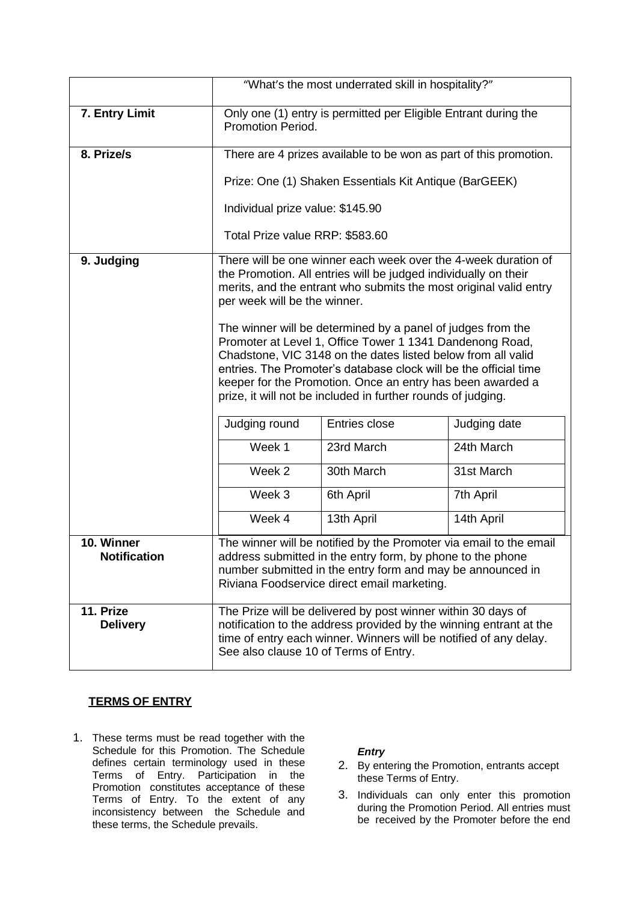|                              | "What's the most underrated skill in hospitality?"                                                                                                                                                                                                                                                                                                                                                                                                                                                                                                                                                                                                                                                                                                                                                                                          |  |  |  |
|------------------------------|---------------------------------------------------------------------------------------------------------------------------------------------------------------------------------------------------------------------------------------------------------------------------------------------------------------------------------------------------------------------------------------------------------------------------------------------------------------------------------------------------------------------------------------------------------------------------------------------------------------------------------------------------------------------------------------------------------------------------------------------------------------------------------------------------------------------------------------------|--|--|--|
| 7. Entry Limit               | Only one (1) entry is permitted per Eligible Entrant during the<br>Promotion Period.                                                                                                                                                                                                                                                                                                                                                                                                                                                                                                                                                                                                                                                                                                                                                        |  |  |  |
| 8. Prize/s                   | There are 4 prizes available to be won as part of this promotion.                                                                                                                                                                                                                                                                                                                                                                                                                                                                                                                                                                                                                                                                                                                                                                           |  |  |  |
|                              | Prize: One (1) Shaken Essentials Kit Antique (BarGEEK)                                                                                                                                                                                                                                                                                                                                                                                                                                                                                                                                                                                                                                                                                                                                                                                      |  |  |  |
|                              | Individual prize value: \$145.90                                                                                                                                                                                                                                                                                                                                                                                                                                                                                                                                                                                                                                                                                                                                                                                                            |  |  |  |
|                              | Total Prize value RRP: \$583.60                                                                                                                                                                                                                                                                                                                                                                                                                                                                                                                                                                                                                                                                                                                                                                                                             |  |  |  |
| 9. Judging                   | There will be one winner each week over the 4-week duration of<br>the Promotion. All entries will be judged individually on their<br>merits, and the entrant who submits the most original valid entry<br>per week will be the winner.<br>The winner will be determined by a panel of judges from the<br>Promoter at Level 1, Office Tower 1 1341 Dandenong Road,<br>Chadstone, VIC 3148 on the dates listed below from all valid<br>entries. The Promoter's database clock will be the official time<br>keeper for the Promotion. Once an entry has been awarded a<br>prize, it will not be included in further rounds of judging.<br>Entries close<br>Judging round<br>Judging date<br>Week 1<br>24th March<br>23rd March<br>Week 2<br>30th March<br>31st March<br>Week 3<br>6th April<br>7th April<br>Week 4<br>13th April<br>14th April |  |  |  |
| 10. Winner                   | The winner will be notified by the Promoter via email to the email                                                                                                                                                                                                                                                                                                                                                                                                                                                                                                                                                                                                                                                                                                                                                                          |  |  |  |
| <b>Notification</b>          | address submitted in the entry form, by phone to the phone<br>number submitted in the entry form and may be announced in<br>Riviana Foodservice direct email marketing.                                                                                                                                                                                                                                                                                                                                                                                                                                                                                                                                                                                                                                                                     |  |  |  |
| 11. Prize<br><b>Delivery</b> | The Prize will be delivered by post winner within 30 days of<br>notification to the address provided by the winning entrant at the<br>time of entry each winner. Winners will be notified of any delay.<br>See also clause 10 of Terms of Entry.                                                                                                                                                                                                                                                                                                                                                                                                                                                                                                                                                                                            |  |  |  |

## **TERMS OF ENTRY**

1. These terms must be read together with the Schedule for this Promotion. The Schedule defines certain terminology used in these Terms of Entry. Participation in the Promotion constitutes acceptance of these Terms of Entry. To the extent of any inconsistency between the Schedule and these terms, the Schedule prevails.

#### *Entry*

- 2. By entering the Promotion, entrants accept these Terms of Entry.
- 3. Individuals can only enter this promotion during the Promotion Period. All entries must be received by the Promoter before the end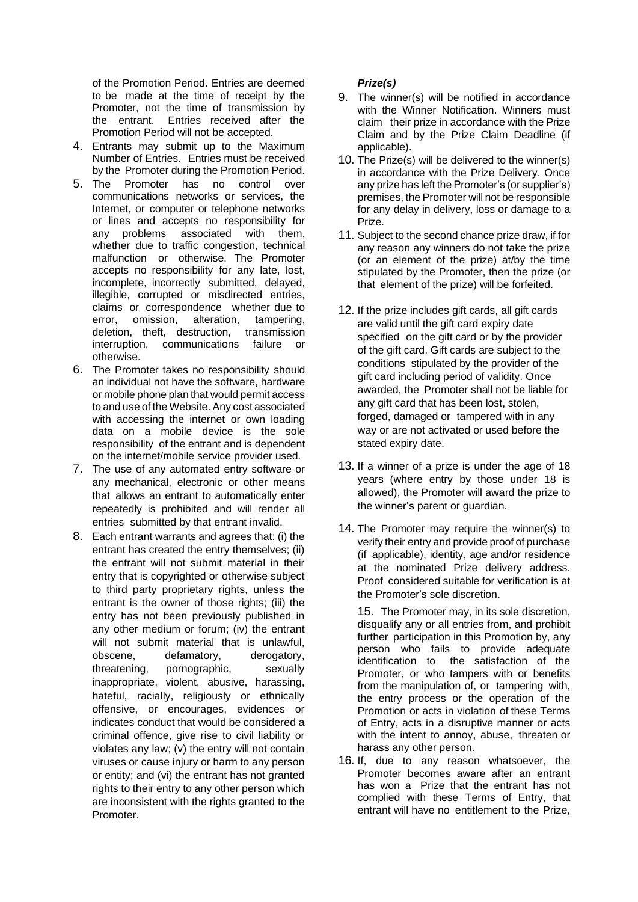of the Promotion Period. Entries are deemed to be made at the time of receipt by the Promoter, not the time of transmission by the entrant. Entries received after the Promotion Period will not be accepted.

- 4. Entrants may submit up to the Maximum Number of Entries. Entries must be received by the Promoter during the Promotion Period.
- 5. The Promoter has no control over communications networks or services, the Internet, or computer or telephone networks or lines and accepts no responsibility for any problems associated with them, whether due to traffic congestion, technical malfunction or otherwise. The Promoter accepts no responsibility for any late, lost, incomplete, incorrectly submitted, delayed, illegible, corrupted or misdirected entries, claims or correspondence whether due to error, omission, alteration, tampering, deletion, theft, destruction, transmission interruption, communications failure or otherwise.
- 6. The Promoter takes no responsibility should an individual not have the software, hardware or mobile phone plan that would permit access to and use of the Website. Any cost associated with accessing the internet or own loading data on a mobile device is the sole responsibility of the entrant and is dependent on the internet/mobile service provider used.
- 7. The use of any automated entry software or any mechanical, electronic or other means that allows an entrant to automatically enter repeatedly is prohibited and will render all entries submitted by that entrant invalid.
- 8. Each entrant warrants and agrees that: (i) the entrant has created the entry themselves; (ii) the entrant will not submit material in their entry that is copyrighted or otherwise subject to third party proprietary rights, unless the entrant is the owner of those rights; (iii) the entry has not been previously published in any other medium or forum; (iv) the entrant will not submit material that is unlawful, obscene, defamatory, derogatory, threatening, pornographic, sexually inappropriate, violent, abusive, harassing, hateful, racially, religiously or ethnically offensive, or encourages, evidences or indicates conduct that would be considered a criminal offence, give rise to civil liability or violates any law; (v) the entry will not contain viruses or cause injury or harm to any person or entity; and (vi) the entrant has not granted rights to their entry to any other person which are inconsistent with the rights granted to the Promoter.

### *Prize(s)*

- 9. The winner(s) will be notified in accordance with the Winner Notification. Winners must claim their prize in accordance with the Prize Claim and by the Prize Claim Deadline (if applicable).
- 10. The Prize(s) will be delivered to the winner(s) in accordance with the Prize Delivery. Once any prize has left the Promoter's (or supplier's) premises, the Promoter will not be responsible for any delay in delivery, loss or damage to a Prize.
- 11. Subject to the second chance prize draw, if for any reason any winners do not take the prize (or an element of the prize) at/by the time stipulated by the Promoter, then the prize (or that element of the prize) will be forfeited.
- 12. If the prize includes gift cards, all gift cards are valid until the gift card expiry date specified on the gift card or by the provider of the gift card. Gift cards are subject to the conditions stipulated by the provider of the gift card including period of validity. Once awarded, the Promoter shall not be liable for any gift card that has been lost, stolen, forged, damaged or tampered with in any way or are not activated or used before the stated expiry date.
- 13. If a winner of a prize is under the age of 18 years (where entry by those under 18 is allowed), the Promoter will award the prize to the winner's parent or guardian.
- 14. The Promoter may require the winner(s) to verify their entry and provide proof of purchase (if applicable), identity, age and/or residence at the nominated Prize delivery address. Proof considered suitable for verification is at the Promoter's sole discretion.

15. The Promoter may, in its sole discretion, disqualify any or all entries from, and prohibit further participation in this Promotion by, any person who fails to provide adequate identification to the satisfaction of the Promoter, or who tampers with or benefits from the manipulation of, or tampering with, the entry process or the operation of the Promotion or acts in violation of these Terms of Entry, acts in a disruptive manner or acts with the intent to annoy, abuse, threaten or harass any other person.

16. If, due to any reason whatsoever, the Promoter becomes aware after an entrant has won a Prize that the entrant has not complied with these Terms of Entry, that entrant will have no entitlement to the Prize,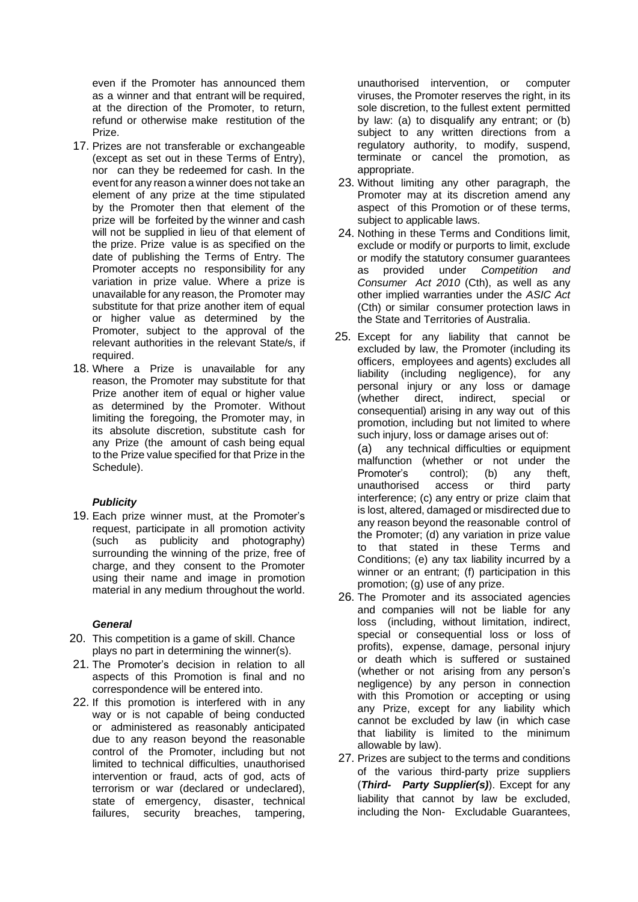even if the Promoter has announced them as a winner and that entrant will be required, at the direction of the Promoter, to return, refund or otherwise make restitution of the Prize.

- 17. Prizes are not transferable or exchangeable (except as set out in these Terms of Entry), nor can they be redeemed for cash. In the event for any reason a winner does not take an element of any prize at the time stipulated by the Promoter then that element of the prize will be forfeited by the winner and cash will not be supplied in lieu of that element of the prize. Prize value is as specified on the date of publishing the Terms of Entry. The Promoter accepts no responsibility for any variation in prize value. Where a prize is unavailable for any reason, the Promoter may substitute for that prize another item of equal or higher value as determined by the Promoter, subject to the approval of the relevant authorities in the relevant State/s, if required.
- 18. Where a Prize is unavailable for any reason, the Promoter may substitute for that Prize another item of equal or higher value as determined by the Promoter. Without limiting the foregoing, the Promoter may, in its absolute discretion, substitute cash for any Prize (the amount of cash being equal to the Prize value specified for that Prize in the Schedule).

#### *Publicity*

19. Each prize winner must, at the Promoter's request, participate in all promotion activity (such as publicity and photography) surrounding the winning of the prize, free of charge, and they consent to the Promoter using their name and image in promotion material in any medium throughout the world.

#### *General*

- 20. This competition is a game of skill. Chance plays no part in determining the winner(s).
- 21. The Promoter's decision in relation to all aspects of this Promotion is final and no correspondence will be entered into.
- 22. If this promotion is interfered with in any way or is not capable of being conducted or administered as reasonably anticipated due to any reason beyond the reasonable control of the Promoter, including but not limited to technical difficulties, unauthorised intervention or fraud, acts of god, acts of terrorism or war (declared or undeclared), state of emergency, disaster, technical failures, security breaches, tampering,

unauthorised intervention, or computer viruses, the Promoter reserves the right, in its sole discretion, to the fullest extent permitted by law: (a) to disqualify any entrant; or (b) subject to any written directions from a regulatory authority, to modify, suspend, terminate or cancel the promotion, as appropriate.

- 23. Without limiting any other paragraph, the Promoter may at its discretion amend any aspect of this Promotion or of these terms, subject to applicable laws.
- 24. Nothing in these Terms and Conditions limit, exclude or modify or purports to limit, exclude or modify the statutory consumer guarantees as provided under *Competition and Consumer Act 2010* (Cth), as well as any other implied warranties under the *ASIC Act* (Cth) or similar consumer protection laws in the State and Territories of Australia.
- 25. Except for any liability that cannot be excluded by law, the Promoter (including its officers, employees and agents) excludes all liability (including negligence), for any personal injury or any loss or damage (whether direct, indirect, special or consequential) arising in any way out of this promotion, including but not limited to where such injury, loss or damage arises out of: (a) any technical difficulties or equipment malfunction (whether or not under the Promoter's control); (b) any theft, unauthorised access or third party interference; (c) any entry or prize claim that is lost, altered, damaged or misdirected due to any reason beyond the reasonable control of the Promoter; (d) any variation in prize value to that stated in these Terms and
- Conditions; (e) any tax liability incurred by a winner or an entrant; (f) participation in this promotion; (g) use of any prize. 26. The Promoter and its associated agencies
- and companies will not be liable for any loss (including, without limitation, indirect, special or consequential loss or loss of profits), expense, damage, personal injury or death which is suffered or sustained (whether or not arising from any person's negligence) by any person in connection with this Promotion or accepting or using any Prize, except for any liability which cannot be excluded by law (in which case that liability is limited to the minimum allowable by law).
- 27. Prizes are subject to the terms and conditions of the various third-party prize suppliers (*Third- Party Supplier(s)*). Except for any liability that cannot by law be excluded, including the Non- Excludable Guarantees,